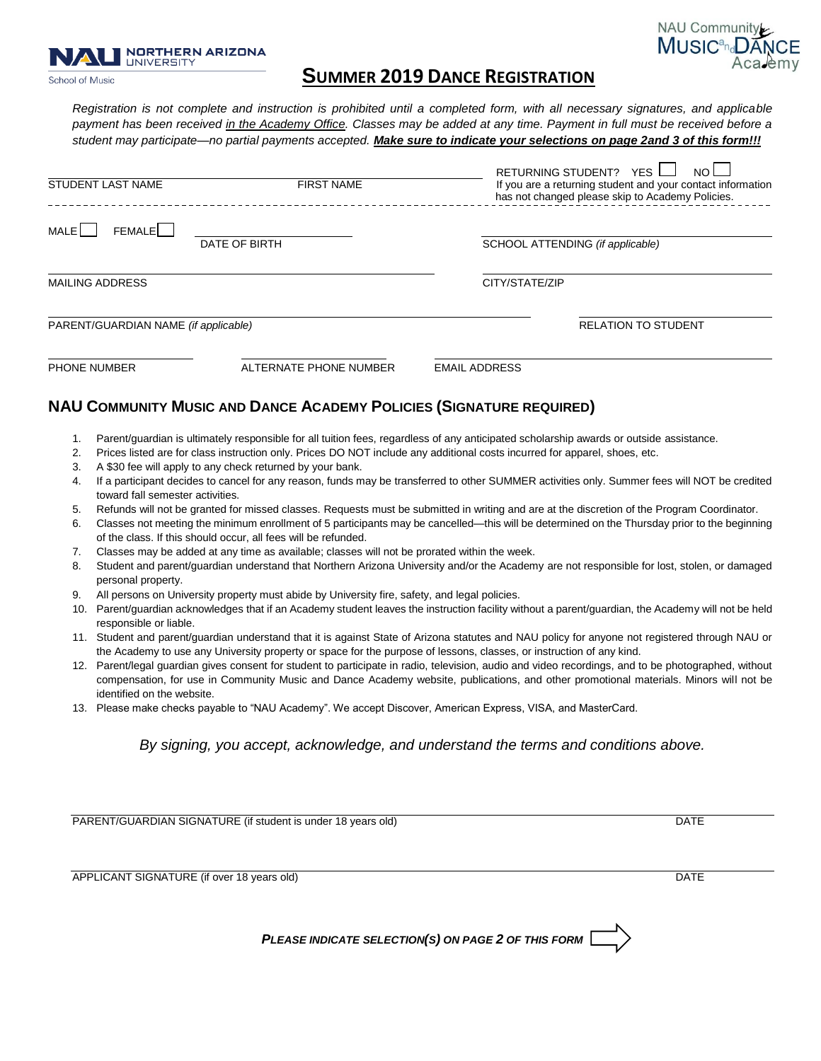School of Music

# **S**<br>
School of Music **CANCER BUGGERS AND BUGGERS AND ANCE REGISTRATION**

NAU Community **MUSIC<sup>and</sup>DANCE** 

Aca.emy

*Registration is not complete and instruction is prohibited until a completed form, with all necessary signatures, and applicable payment has been received in the Academy Office. Classes may be added at any time. Payment in full must be received before a student may participate—no partial payments accepted. Make sure to indicate your selections on page 2and 3 of this form!!!*

|              | <b>STUDENT LAST NAME</b>                                                                                                                                                                                                                                                                      | <b>FIRST NAME</b>                                                          | RETURNING STUDENT? YES<br>NO<br>If you are a returning student and your contact information<br>has not changed please skip to Academy Policies. |  |  |  |  |  |
|--------------|-----------------------------------------------------------------------------------------------------------------------------------------------------------------------------------------------------------------------------------------------------------------------------------------------|----------------------------------------------------------------------------|-------------------------------------------------------------------------------------------------------------------------------------------------|--|--|--|--|--|
| MALE         | <b>FEMALE</b>                                                                                                                                                                                                                                                                                 | DATE OF BIRTH                                                              | SCHOOL ATTENDING (if applicable)                                                                                                                |  |  |  |  |  |
|              | <b>MAILING ADDRESS</b>                                                                                                                                                                                                                                                                        |                                                                            | CITY/STATE/ZIP                                                                                                                                  |  |  |  |  |  |
|              |                                                                                                                                                                                                                                                                                               |                                                                            |                                                                                                                                                 |  |  |  |  |  |
|              | PARENT/GUARDIAN NAME (if applicable)                                                                                                                                                                                                                                                          |                                                                            | <b>RELATION TO STUDENT</b>                                                                                                                      |  |  |  |  |  |
| PHONE NUMBER |                                                                                                                                                                                                                                                                                               | ALTERNATE PHONE NUMBER                                                     | <b>EMAIL ADDRESS</b>                                                                                                                            |  |  |  |  |  |
|              |                                                                                                                                                                                                                                                                                               | <b>NAU COMMUNITY MUSIC AND DANCE ACADEMY POLICIES (SIGNATURE REQUIRED)</b> |                                                                                                                                                 |  |  |  |  |  |
| 1.           |                                                                                                                                                                                                                                                                                               |                                                                            | Parent/guardian is ultimately responsible for all tuition fees, regardless of any anticipated scholarship awards or outside assistance.         |  |  |  |  |  |
| 2.           | Prices listed are for class instruction only. Prices DO NOT include any additional costs incurred for apparel, shoes, etc.                                                                                                                                                                    |                                                                            |                                                                                                                                                 |  |  |  |  |  |
| 3.           | A \$30 fee will apply to any check returned by your bank.                                                                                                                                                                                                                                     |                                                                            |                                                                                                                                                 |  |  |  |  |  |
| 4.           | toward fall semester activities.                                                                                                                                                                                                                                                              |                                                                            | If a participant decides to cancel for any reason, funds may be transferred to other SUMMER activities only. Summer fees will NOT be credited   |  |  |  |  |  |
|              |                                                                                                                                                                                                                                                                                               |                                                                            |                                                                                                                                                 |  |  |  |  |  |
| 5.           |                                                                                                                                                                                                                                                                                               |                                                                            | Refunds will not be granted for missed classes. Requests must be submitted in writing and are at the discretion of the Program Coordinator.     |  |  |  |  |  |
| 6.           |                                                                                                                                                                                                                                                                                               | of the class. If this should occur, all fees will be refunded.             | Classes not meeting the minimum enrollment of 5 participants may be cancelled—this will be determined on the Thursday prior to the beginning    |  |  |  |  |  |
| 7.           | Classes may be added at any time as available; classes will not be prorated within the week.                                                                                                                                                                                                  |                                                                            |                                                                                                                                                 |  |  |  |  |  |
| 8.           | Student and parent/guardian understand that Northern Arizona University and/or the Academy are not responsible for lost, stolen, or damaged<br>personal property.                                                                                                                             |                                                                            |                                                                                                                                                 |  |  |  |  |  |
| 9.           | All persons on University property must abide by University fire, safety, and legal policies.                                                                                                                                                                                                 |                                                                            |                                                                                                                                                 |  |  |  |  |  |
|              | 10. Parent/guardian acknowledges that if an Academy student leaves the instruction facility without a parent/guardian, the Academy will not be held<br>responsible or liable.                                                                                                                 |                                                                            |                                                                                                                                                 |  |  |  |  |  |
|              | 11. Student and parent/guardian understand that it is against State of Arizona statutes and NAU policy for anyone not registered through NAU or<br>the Academy to use any University property or space for the purpose of lessons, classes, or instruction of any kind.                       |                                                                            |                                                                                                                                                 |  |  |  |  |  |
|              | 12. Parent/legal guardian gives consent for student to participate in radio, television, audio and video recordings, and to be photographed, without<br>compensation, for use in Community Music and Dance Academy website, publications, and other promotional materials. Minors will not be |                                                                            |                                                                                                                                                 |  |  |  |  |  |
|              | identified on the website.                                                                                                                                                                                                                                                                    |                                                                            |                                                                                                                                                 |  |  |  |  |  |
| 13.          | Please make checks payable to "NAU Academy". We accept Discover, American Express, VISA, and MasterCard.                                                                                                                                                                                      |                                                                            |                                                                                                                                                 |  |  |  |  |  |
|              |                                                                                                                                                                                                                                                                                               |                                                                            | By signing, you accept, acknowledge, and understand the terms and conditions above.                                                             |  |  |  |  |  |
|              |                                                                                                                                                                                                                                                                                               |                                                                            |                                                                                                                                                 |  |  |  |  |  |
|              |                                                                                                                                                                                                                                                                                               | PARENT/GUARDIAN SIGNATURE (if student is under 18 years old)               | <b>DATE</b>                                                                                                                                     |  |  |  |  |  |
|              |                                                                                                                                                                                                                                                                                               |                                                                            |                                                                                                                                                 |  |  |  |  |  |
|              |                                                                                                                                                                                                                                                                                               | APPLICANT SIGNATURE (if over 18 years old)                                 | <b>DATE</b>                                                                                                                                     |  |  |  |  |  |
|              |                                                                                                                                                                                                                                                                                               |                                                                            |                                                                                                                                                 |  |  |  |  |  |

*PLEASE INDICATE SELECTION(S) ON PAGE 2 OF THIS FORM*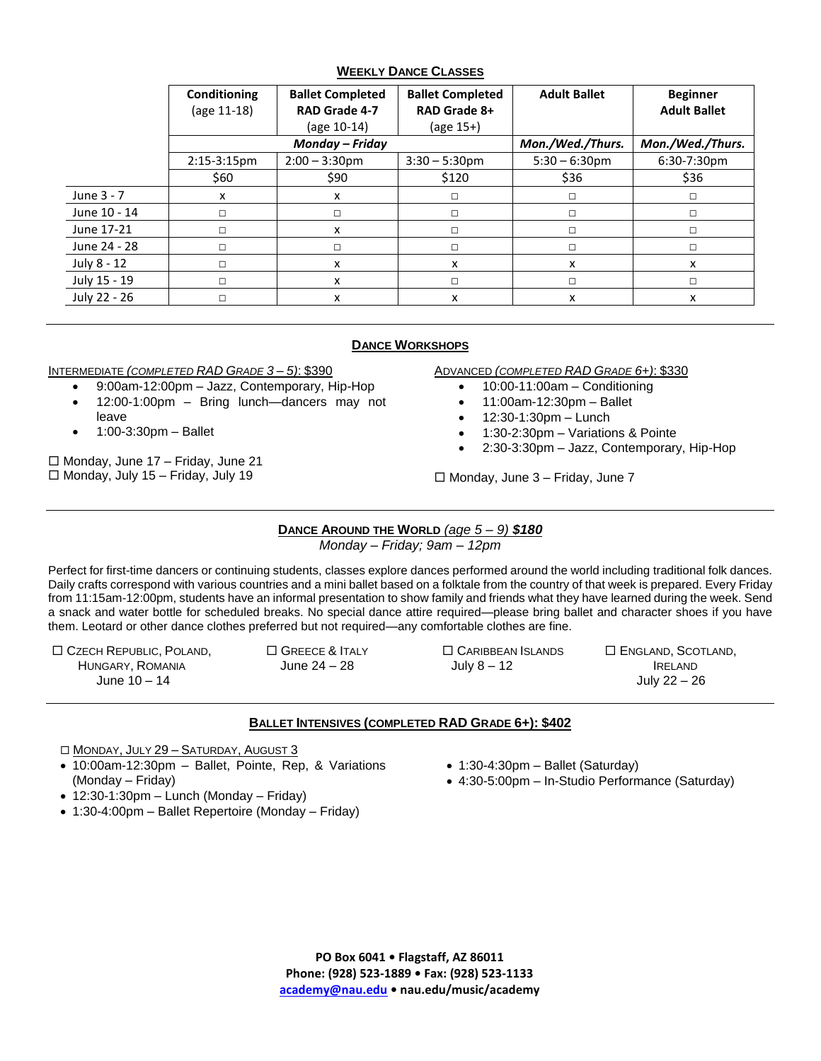### **WEEKLY DANCE CLASSES**

|              | <b>Conditioning</b><br>(age 11-18) | <b>Ballet Completed</b><br><b>RAD Grade 4-7</b><br>(age 10-14) | <b>Ballet Completed</b><br>RAD Grade 8+<br>(age 15+) | <b>Adult Ballet</b> | <b>Beginner</b><br><b>Adult Ballet</b> |
|--------------|------------------------------------|----------------------------------------------------------------|------------------------------------------------------|---------------------|----------------------------------------|
|              | Monday - Friday                    |                                                                |                                                      | Mon./Wed./Thurs.    | Mon./Wed./Thurs.                       |
|              | $2:15-3:15$ pm                     | $2:00 - 3:30$ pm                                               | $3:30 - 5:30$ pm                                     | $5:30 - 6:30$ pm    | 6:30-7:30pm                            |
|              | \$60                               | \$90                                                           | \$120                                                | \$36                | \$36                                   |
| June 3 - 7   | x                                  | x                                                              | □                                                    | $\Box$              | □                                      |
| June 10 - 14 | $\Box$                             | п                                                              | □                                                    | $\Box$              | □                                      |
| June 17-21   | П                                  | x                                                              | П                                                    | $\Box$              | п                                      |
| June 24 - 28 | $\Box$                             | п                                                              | □                                                    | $\Box$              | □                                      |
| July 8 - 12  | $\Box$                             | x                                                              | x                                                    | x                   | x                                      |
| July 15 - 19 | П                                  | x                                                              | П                                                    | $\Box$              | П                                      |
| July 22 - 26 | $\Box$                             | x                                                              | x                                                    | x                   | x                                      |

# **DANCE WORKSHOPS**

#### INTERMEDIATE *(COMPLETED RAD GRADE 3 – 5)*: \$390

- 9:00am-12:00pm Jazz, Contemporary, Hip-Hop
- 12:00-1:00pm Bring lunch—dancers may not leave
- 1:00-3:30pm Ballet

 $\Box$  Monday, June 17 – Friday, June 21  $\Box$  Monday, July 15 – Friday, July 19

- ADVANCED *(COMPLETED RAD GRADE 6+)*: \$330
	- $\bullet$  10:00-11:00am Conditioning
	- $\bullet$  11:00am-12:30pm Ballet
	- $\bullet$  12:30-1:30pm Lunch
	- 1:30-2:30pm Variations & Pointe
	- 2:30-3:30pm Jazz, Contemporary, Hip-Hop

 $\Box$  Monday, June 3 - Friday, June 7

# **DANCE AROUND THE WORLD** *(age 5 – 9) \$180*

*Monday – Friday; 9am – 12pm*

Perfect for first-time dancers or continuing students, classes explore dances performed around the world including traditional folk dances. Daily crafts correspond with various countries and a mini ballet based on a folktale from the country of that week is prepared. Every Friday from 11:15am-12:00pm, students have an informal presentation to show family and friends what they have learned during the week. Send a snack and water bottle for scheduled breaks. No special dance attire required—please bring ballet and character shoes if you have them. Leotard or other dance clothes preferred but not required—any comfortable clothes are fine.

 CZECH REPUBLIC, POLAND, HUNGARY, ROMANIA June 10 – 14

□ GREECE & ITALY June 24 – 28

 CARIBBEAN ISLANDS July 8 – 12

 $\square$  England, Scotland, IRELAND July 22 – 26

# **BALLET INTENSIVES (COMPLETED RAD GRADE 6+): \$402**

□ MONDAY, JULY 29 - SATURDAY, AUGUST 3

- 10:00am-12:30pm Ballet, Pointe, Rep, & Variations (Monday – Friday)
- $\bullet$  1:30-4:30pm Ballet (Saturday) 4:30-5:00pm – In-Studio Performance (Saturday)
- $\bullet$  12:30-1:30pm Lunch (Monday Friday)
- 1:30-4:00pm Ballet Repertoire (Monday Friday)

**PO Box 6041 • Flagstaff, AZ 86011 Phone: (928) 523-1889 • Fax: (928) 523-1133 [academy@nau.edu](mailto:academy@nau.edu) • nau.edu/music/academy**